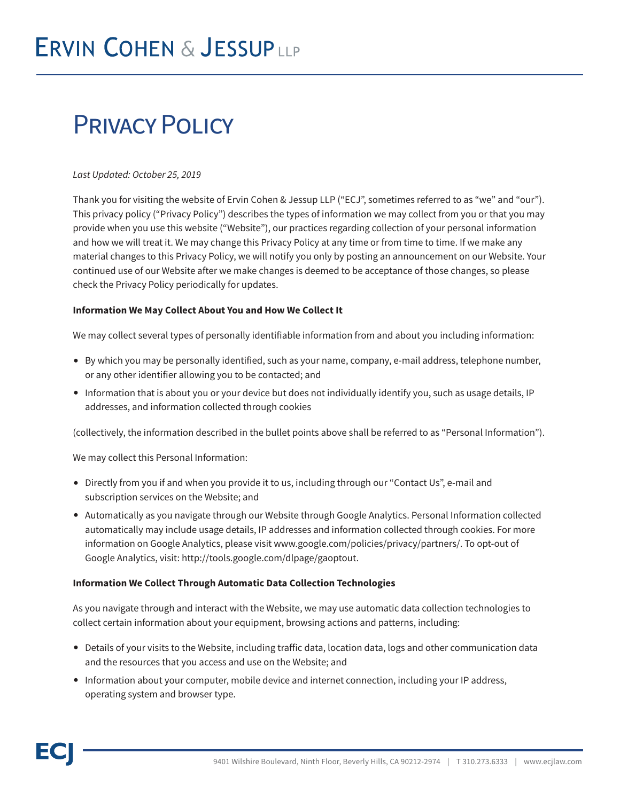# Privacy Policy

# *Last Updated: October 25, 2019*

Thank you for visiting the website of Ervin Cohen & Jessup LLP ("ECJ", sometimes referred to as "we" and "our"). This privacy policy ("Privacy Policy") describes the types of information we may collect from you or that you may provide when you use this website ("Website"), our practices regarding collection of your personal information and how we will treat it. We may change this Privacy Policy at any time or from time to time. If we make any material changes to this Privacy Policy, we will notify you only by posting an announcement on our Website. Your continued use of our Website after we make changes is deemed to be acceptance of those changes, so please check the Privacy Policy periodically for updates.

# **Information We May Collect About You and How We Collect It**

We may collect several types of personally identifiable information from and about you including information:

- By which you may be personally identified, such as your name, company, e-mail address, telephone number, or any other identifier allowing you to be contacted; and
- Information that is about you or your device but does not individually identify you, such as usage details, IP addresses, and information collected through cookies

(collectively, the information described in the bullet points above shall be referred to as "Personal Information").

We may collect this Personal Information:

- Directly from you if and when you provide it to us, including through our "Contact Us", e-mail and subscription services on the Website; and
- Automatically as you navigate through our Website through Google Analytics. Personal Information collected automatically may include usage details, IP addresses and information collected through cookies. For more information on Google Analytics, please visit www.google.com/policies/privacy/partners/. To opt-out of Google Analytics, visit: http://tools.google.com/dlpage/gaoptout.

#### **Information We Collect Through Automatic Data Collection Technologies**

As you navigate through and interact with the Website, we may use automatic data collection technologies to collect certain information about your equipment, browsing actions and patterns, including:

- Details of your visits to the Website, including traffic data, location data, logs and other communication data and the resources that you access and use on the Website; and
- Information about your computer, mobile device and internet connection, including your IP address, operating system and browser type.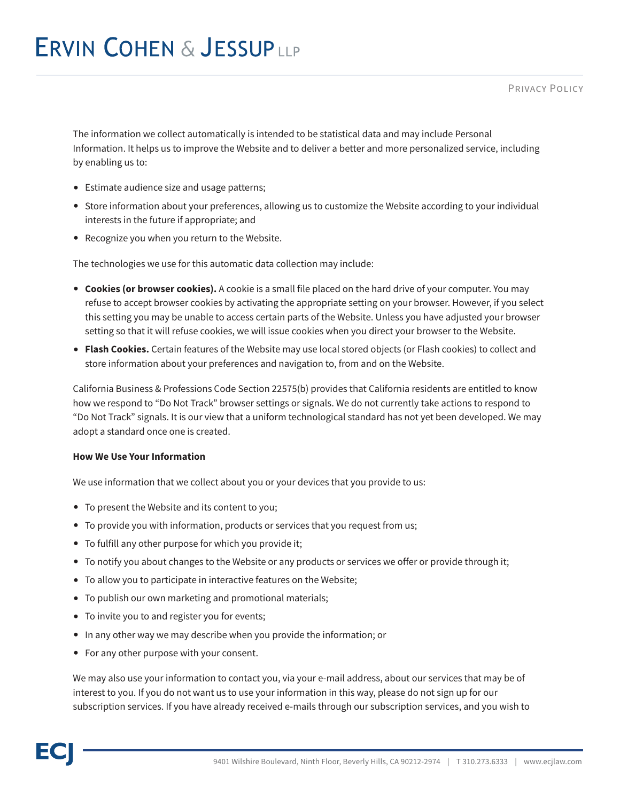The information we collect automatically is intended to be statistical data and may include Personal Information. It helps us to improve the Website and to deliver a better and more personalized service, including by enabling us to:

- Estimate audience size and usage patterns;
- Store information about your preferences, allowing us to customize the Website according to your individual interests in the future if appropriate; and
- Recognize you when you return to the Website.

The technologies we use for this automatic data collection may include:

- **Cookies (or browser cookies).** A cookie is a small file placed on the hard drive of your computer. You may refuse to accept browser cookies by activating the appropriate setting on your browser. However, if you select this setting you may be unable to access certain parts of the Website. Unless you have adjusted your browser setting so that it will refuse cookies, we will issue cookies when you direct your browser to the Website.
- **Flash Cookies.** Certain features of the Website may use local stored objects (or Flash cookies) to collect and store information about your preferences and navigation to, from and on the Website.

California Business & Professions Code Section 22575(b) provides that California residents are entitled to know how we respond to "Do Not Track" browser settings or signals. We do not currently take actions to respond to "Do Not Track" signals. It is our view that a uniform technological standard has not yet been developed. We may adopt a standard once one is created.

#### **How We Use Your Information**

We use information that we collect about you or your devices that you provide to us:

- To present the Website and its content to you;
- To provide you with information, products or services that you request from us;
- To fulfill any other purpose for which you provide it;
- To notify you about changes to the Website or any products or services we offer or provide through it;
- To allow you to participate in interactive features on the Website;
- To publish our own marketing and promotional materials;
- To invite you to and register you for events;
- In any other way we may describe when you provide the information; or
- For any other purpose with your consent.

We may also use your information to contact you, via your e-mail address, about our services that may be of interest to you. If you do not want us to use your information in this way, please do not sign up for our subscription services. If you have already received e-mails through our subscription services, and you wish to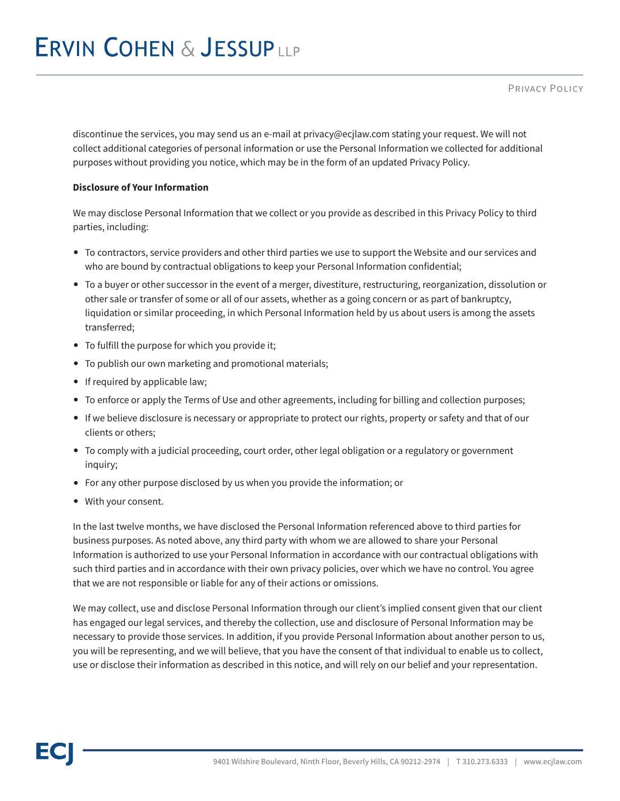discontinue the services, you may send us an e-mail at privacy@ecjlaw.com stating your request. We will not collect additional categories of personal information or use the Personal Information we collected for additional purposes without providing you notice, which may be in the form of an updated Privacy Policy.

# **Disclosure of Your Information**

We may disclose Personal Information that we collect or you provide as described in this Privacy Policy to third parties, including:

- To contractors, service providers and other third parties we use to support the Website and our services and who are bound by contractual obligations to keep your Personal Information confidential;
- To a buyer or other successor in the event of a merger, divestiture, restructuring, reorganization, dissolution or other sale or transfer of some or all of our assets, whether as a going concern or as part of bankruptcy, liquidation or similar proceeding, in which Personal Information held by us about users is among the assets transferred;
- To fulfill the purpose for which you provide it;
- To publish our own marketing and promotional materials;
- If required by applicable law;
- To enforce or apply the Terms of Use and other agreements, including for billing and collection purposes;
- If we believe disclosure is necessary or appropriate to protect our rights, property or safety and that of our clients or others;
- To comply with a judicial proceeding, court order, other legal obligation or a regulatory or government inquiry;
- For any other purpose disclosed by us when you provide the information; or
- With your consent.

In the last twelve months, we have disclosed the Personal Information referenced above to third parties for business purposes. As noted above, any third party with whom we are allowed to share your Personal Information is authorized to use your Personal Information in accordance with our contractual obligations with such third parties and in accordance with their own privacy policies, over which we have no control. You agree that we are not responsible or liable for any of their actions or omissions.

We may collect, use and disclose Personal Information through our client's implied consent given that our client has engaged our legal services, and thereby the collection, use and disclosure of Personal Information may be necessary to provide those services. In addition, if you provide Personal Information about another person to us, you will be representing, and we will believe, that you have the consent of that individual to enable us to collect, use or disclose their information as described in this notice, and will rely on our belief and your representation.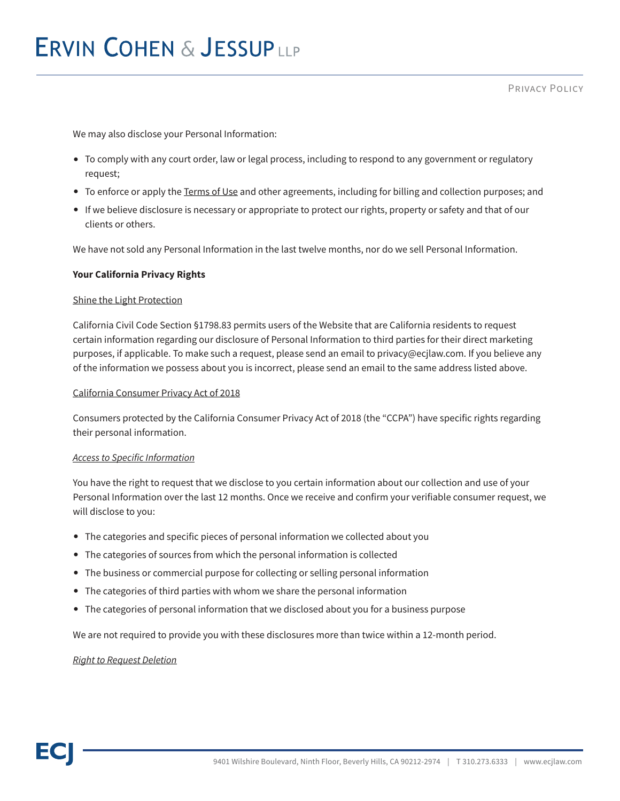We may also disclose your Personal Information:

- To comply with any court order, law or legal process, including to respond to any government or regulatory request;
- To enforce or apply the Terms of Use and other agreements, including for billing and collection purposes; and
- If we believe disclosure is necessary or appropriate to protect our rights, property or safety and that of our clients or others.

We have not sold any Personal Information in the last twelve months, nor do we sell Personal Information.

#### **Your California Privacy Rights**

#### Shine the Light Protection

California Civil Code Section §1798.83 permits users of the Website that are California residents to request certain information regarding our disclosure of Personal Information to third parties for their direct marketing purposes, if applicable. To make such a request, please send an email to privacy@ecjlaw.com. If you believe any of the information we possess about you is incorrect, please send an email to the same address listed above.

#### California Consumer Privacy Act of 2018

Consumers protected by the California Consumer Privacy Act of 2018 (the "CCPA") have specific rights regarding their personal information.

#### *Access to Specific Information*

You have the right to request that we disclose to you certain information about our collection and use of your Personal Information over the last 12 months. Once we receive and confirm your verifiable consumer request, we will disclose to you:

- The categories and specific pieces of personal information we collected about you
- The categories of sources from which the personal information is collected
- The business or commercial purpose for collecting or selling personal information
- The categories of third parties with whom we share the personal information
- The categories of personal information that we disclosed about you for a business purpose

We are not required to provide you with these disclosures more than twice within a 12-month period.

#### *Right to Request Deletion*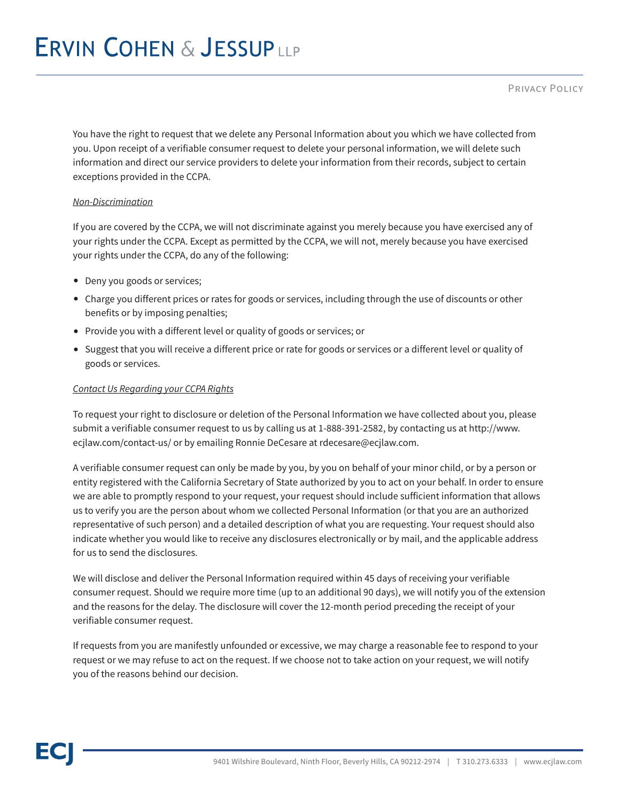Privacy Policy

You have the right to request that we delete any Personal Information about you which we have collected from you. Upon receipt of a verifiable consumer request to delete your personal information, we will delete such information and direct our service providers to delete your information from their records, subject to certain exceptions provided in the CCPA.

# *Non-Discrimination*

If you are covered by the CCPA, we will not discriminate against you merely because you have exercised any of your rights under the CCPA. Except as permitted by the CCPA, we will not, merely because you have exercised your rights under the CCPA, do any of the following:

- Deny you goods or services;
- Charge you different prices or rates for goods or services, including through the use of discounts or other benefits or by imposing penalties;
- Provide you with a different level or quality of goods or services; or
- Suggest that you will receive a different price or rate for goods or services or a different level or quality of goods or services.

# *Contact Us Regarding your CCPA Rights*

To request your right to disclosure or deletion of the Personal Information we have collected about you, please submit a verifiable consumer request to us by calling us at 1-888-391-2582, by contacting us at http://www. ecjlaw.com/contact-us/ or by emailing Ronnie DeCesare at rdecesare@ecjlaw.com.

A verifiable consumer request can only be made by you, by you on behalf of your minor child, or by a person or entity registered with the California Secretary of State authorized by you to act on your behalf. In order to ensure we are able to promptly respond to your request, your request should include sufficient information that allows us to verify you are the person about whom we collected Personal Information (or that you are an authorized representative of such person) and a detailed description of what you are requesting. Your request should also indicate whether you would like to receive any disclosures electronically or by mail, and the applicable address for us to send the disclosures.

We will disclose and deliver the Personal Information required within 45 days of receiving your verifiable consumer request. Should we require more time (up to an additional 90 days), we will notify you of the extension and the reasons for the delay. The disclosure will cover the 12-month period preceding the receipt of your verifiable consumer request.

If requests from you are manifestly unfounded or excessive, we may charge a reasonable fee to respond to your request or we may refuse to act on the request. If we choose not to take action on your request, we will notify you of the reasons behind our decision.